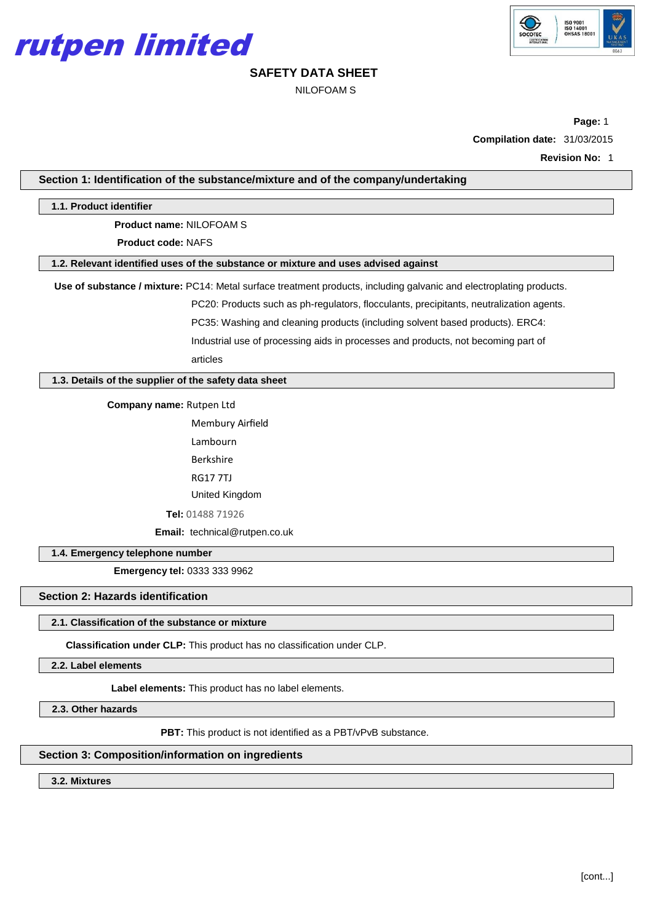



NILOFOAM S

**Page:** 1 **Compilation date:** 31/03/2015

**Revision No:** 1

|                                                       | Section 1: Identification of the substance/mixture and of the company/undertaking                                   |  |  |  |
|-------------------------------------------------------|---------------------------------------------------------------------------------------------------------------------|--|--|--|
| 1.1. Product identifier                               |                                                                                                                     |  |  |  |
| Product name: NILOFOAM S                              |                                                                                                                     |  |  |  |
| <b>Product code: NAFS</b>                             |                                                                                                                     |  |  |  |
|                                                       | 1.2. Relevant identified uses of the substance or mixture and uses advised against                                  |  |  |  |
|                                                       | Use of substance / mixture: PC14: Metal surface treatment products, including galvanic and electroplating products. |  |  |  |
|                                                       | PC20: Products such as ph-regulators, flocculants, precipitants, neutralization agents.                             |  |  |  |
|                                                       | PC35: Washing and cleaning products (including solvent based products). ERC4:                                       |  |  |  |
|                                                       | Industrial use of processing aids in processes and products, not becoming part of                                   |  |  |  |
|                                                       | articles                                                                                                            |  |  |  |
| 1.3. Details of the supplier of the safety data sheet |                                                                                                                     |  |  |  |
| Company name: Rutpen Ltd                              |                                                                                                                     |  |  |  |
|                                                       | Membury Airfield                                                                                                    |  |  |  |
|                                                       | Lambourn                                                                                                            |  |  |  |
|                                                       | <b>Berkshire</b>                                                                                                    |  |  |  |
|                                                       | <b>RG177TJ</b>                                                                                                      |  |  |  |
|                                                       | United Kingdom                                                                                                      |  |  |  |
|                                                       | Tel: 01488 71926                                                                                                    |  |  |  |
|                                                       | Email: technical@rutpen.co.uk                                                                                       |  |  |  |
| 1.4. Emergency telephone number                       |                                                                                                                     |  |  |  |
| Emergency tel: 0333 333 9962                          |                                                                                                                     |  |  |  |
| <b>Section 2: Hazards identification</b>              |                                                                                                                     |  |  |  |
| 2.1. Classification of the substance or mixture       |                                                                                                                     |  |  |  |
|                                                       | Classification under CLP: This product has no classification under CLP.                                             |  |  |  |
| 2.2. Label elements                                   |                                                                                                                     |  |  |  |
| Label elements: This product has no label elements.   |                                                                                                                     |  |  |  |
| 2.3. Other hazards                                    |                                                                                                                     |  |  |  |
|                                                       | <b>PBT:</b> This product is not identified as a PBT/vPvB substance.                                                 |  |  |  |

**3.2. Mixtures**

**Section 3: Composition/information on ingredients**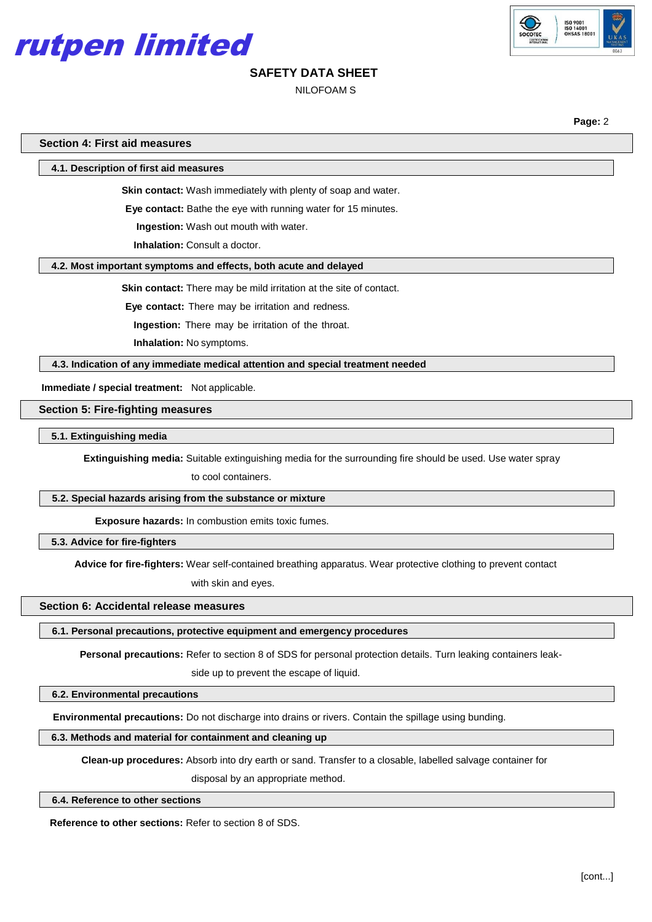



### NILOFOAM S

**Page:** 2

|  |  | <b>Section 4: First aid measures</b> |
|--|--|--------------------------------------|
|--|--|--------------------------------------|

**4.1. Description of first aid measures**

**Skin contact:** Wash immediately with plenty of soap and water.

**Eye contact:** Bathe the eye with running water for 15 minutes.

**Ingestion:** Wash out mouth with water.

**Inhalation:** Consult a doctor.

#### **4.2. Most important symptoms and effects, both acute and delayed**

**Skin contact:** There may be mild irritation at the site of contact.

**Eye contact:** There may be irritation and redness.

**Ingestion:** There may be irritation of the throat.

**Inhalation:** No symptoms.

**4.3. Indication of any immediate medical attention and special treatment needed**

**Immediate / special treatment:** Not applicable.

**Section 5: Fire-fighting measures**

**5.1. Extinguishing media**

**Extinguishing media:** Suitable extinguishing media for the surrounding fire should be used. Use water spray

to cool containers.

# **5.2. Special hazards arising from the substance or mixture**

**Exposure hazards:** In combustion emits toxic fumes.

**5.3. Advice for fire-fighters**

**Advice for fire-fighters:** Wear self-contained breathing apparatus. Wear protective clothing to prevent contact

with skin and eyes.

#### **Section 6: Accidental release measures**

**6.1. Personal precautions, protective equipment and emergency procedures**

**Personal precautions:** Refer to section 8 of SDS for personal protection details. Turn leaking containers leak-

side up to prevent the escape of liquid.

#### **6.2. Environmental precautions**

**Environmental precautions:** Do not discharge into drains or rivers. Contain the spillage using bunding.

**6.3. Methods and material for containment and cleaning up**

**Clean-up procedures:** Absorb into dry earth or sand. Transfer to a closable, labelled salvage container for

disposal by an appropriate method.

**6.4. Reference to other sections**

**Reference to other sections:** Refer to section 8 of SDS.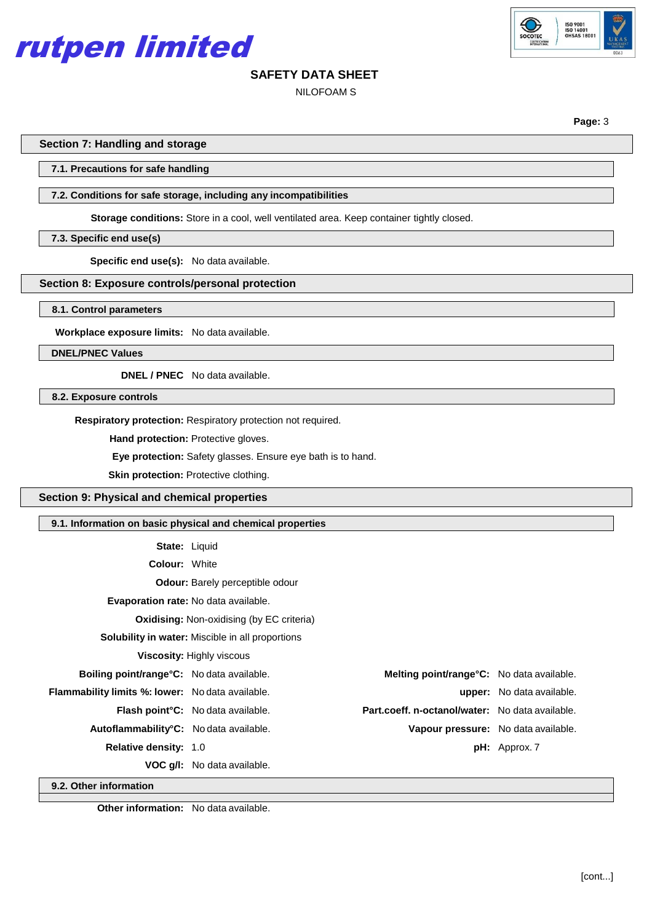

# ISO 9001<br>ISO 14001<br>OHSAS 18

# **SAFETY DATA SHEET**

NILOFOAM S

**Page:** 3

#### **Section 7: Handling and storage**

#### **7.1. Precautions for safe handling**

#### **7.2. Conditions for safe storage, including any incompatibilities**

**Storage conditions:** Store in a cool, well ventilated area. Keep container tightly closed.

#### **7.3. Specific end use(s)**

**Specific end use(s):** No data available.

# **Section 8: Exposure controls/personal protection**

**8.1. Control parameters**

**Workplace exposure limits:** No data available.

**DNEL/PNEC Values**

**DNEL / PNEC** No data available.

**8.2. Exposure controls**

**Respiratory protection:** Respiratory protection not required.

**Hand protection: Protective gloves.** 

**Eye protection:** Safety glasses. Ensure eye bath is to hand.

**Skin protection: Protective clothing.** 

**Section 9: Physical and chemical properties**

| 9.1. Information on basic physical and chemical properties |                                                         |                                                   |                                  |  |  |
|------------------------------------------------------------|---------------------------------------------------------|---------------------------------------------------|----------------------------------|--|--|
| <b>State: Liquid</b>                                       |                                                         |                                                   |                                  |  |  |
| <b>Colour: White</b>                                       |                                                         |                                                   |                                  |  |  |
|                                                            | <b>Odour:</b> Barely perceptible odour                  |                                                   |                                  |  |  |
|                                                            | <b>Evaporation rate:</b> No data available.             |                                                   |                                  |  |  |
|                                                            | <b>Oxidising: Non-oxidising (by EC criteria)</b>        |                                                   |                                  |  |  |
|                                                            | <b>Solubility in water:</b> Miscible in all proportions |                                                   |                                  |  |  |
| <b>Viscosity: Highly viscous</b>                           |                                                         |                                                   |                                  |  |  |
| Boiling point/range°C: No data available.                  |                                                         | <b>Melting point/range °C:</b> No data available. |                                  |  |  |
| <b>Flammability limits %: lower:</b> No data available.    |                                                         |                                                   | <b>upper:</b> No data available. |  |  |
|                                                            | <b>Flash point °C:</b> No data available.               | Part.coeff. n-octanol/water: No data available.   |                                  |  |  |
| Autoflammability <sup>°</sup> C: No data available.        |                                                         | Vapour pressure: No data available.               |                                  |  |  |
| Relative density: 1.0                                      |                                                         |                                                   | $pH:$ Approx. 7                  |  |  |
|                                                            | <b>VOC g/l:</b> No data available.                      |                                                   |                                  |  |  |
| $\sim$ $\sim$ $\sim$ $\sim$ $\sim$ $\sim$                  |                                                         |                                                   |                                  |  |  |

**9.2. Other information**

**Other information:** No data available.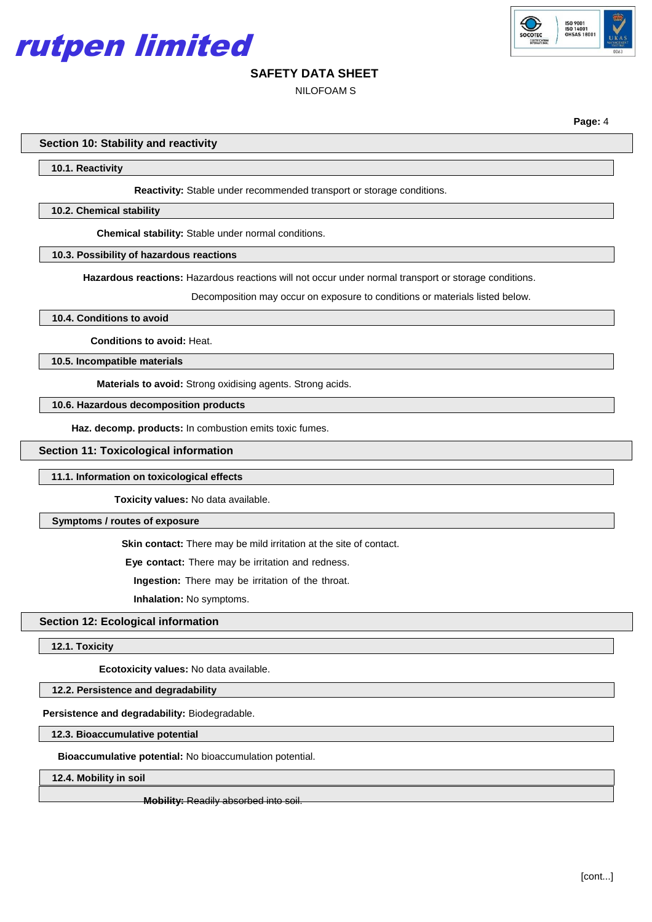



NILOFOAM S

**Page:** 4

**Section 10: Stability and reactivity**

**10.1. Reactivity**

**Reactivity:** Stable under recommended transport or storage conditions.

#### **10.2. Chemical stability**

**Chemical stability:** Stable under normal conditions.

#### **10.3. Possibility of hazardous reactions**

**Hazardous reactions:** Hazardous reactions will not occur under normal transport or storage conditions.

Decomposition may occur on exposure to conditions or materials listed below.

#### **10.4. Conditions to avoid**

**Conditions to avoid:** Heat.

**10.5. Incompatible materials**

**Materials to avoid:** Strong oxidising agents. Strong acids.

#### **10.6. Hazardous decomposition products**

**Haz. decomp. products:** In combustion emits toxic fumes.

#### **Section 11: Toxicological information**

#### **11.1. Information on toxicological effects**

**Toxicity values:** No data available.

#### **Symptoms / routes of exposure**

**Skin contact:** There may be mild irritation at the site of contact.

**Eye contact:** There may be irritation and redness.

**Ingestion:** There may be irritation of the throat.

**Inhalation:** No symptoms.

#### **Section 12: Ecological information**

**12.1. Toxicity**

**Ecotoxicity values:** No data available.

#### **12.2. Persistence and degradability**

#### **Persistence and degradability:** Biodegradable.

#### **12.3. Bioaccumulative potential**

**Bioaccumulative potential:** No bioaccumulation potential.

**12.4. Mobility in soil**

**Mobility: Readily absorbed into soil.**